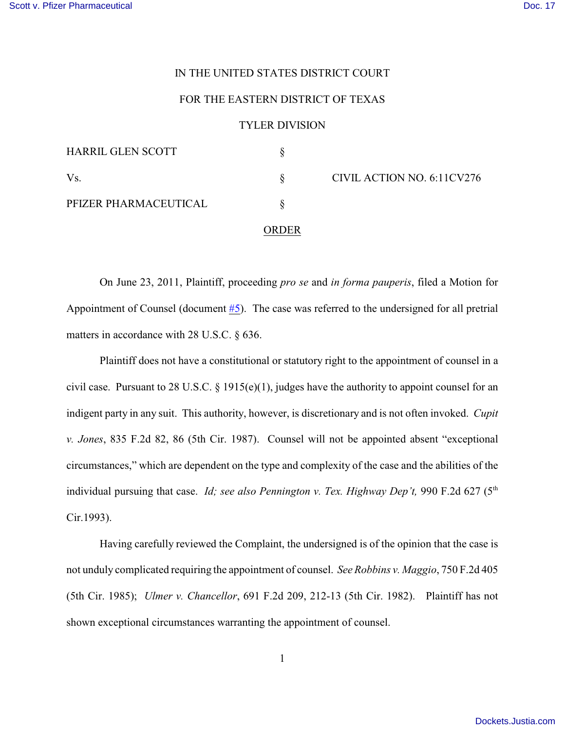## IN THE UNITED STATES DISTRICT COURT

## FOR THE EASTERN DISTRICT OF TEXAS

## TYLER DIVISION

| <b>HARRIL GLEN SCOTT</b> |          |                            |
|--------------------------|----------|----------------------------|
| Vs.                      |          | CIVIL ACTION NO. 6:11CV276 |
| PFIZER PHARMACEUTICAL    |          |                            |
|                          | OR DER . |                            |

On June 23, 2011, Plaintiff, proceeding *pro se* and *in forma pauperis*, filed a Motion for Appointment of Counsel (document [#5](https://ecf.txed.uscourts.gov/doc1/17514809607)). The case was referred to the undersigned for all pretrial matters in accordance with 28 U.S.C. § 636.

Plaintiff does not have a constitutional or statutory right to the appointment of counsel in a civil case. Pursuant to 28 U.S.C.  $\S$  1915(e)(1), judges have the authority to appoint counsel for an indigent party in any suit. This authority, however, is discretionary and is not often invoked. *Cupit v. Jones*, 835 F.2d 82, 86 (5th Cir. 1987). Counsel will not be appointed absent "exceptional circumstances," which are dependent on the type and complexity of the case and the abilities of the individual pursuing that case. *Id; see also Pennington v. Tex. Highway Dep't*, 990 F.2d 627 (5<sup>th</sup> Cir.1993).

Having carefully reviewed the Complaint, the undersigned is of the opinion that the case is not unduly complicated requiring the appointment of counsel. *See Robbins v. Maggio*, 750 F.2d 405 (5th Cir. 1985); *Ulmer v. Chancellor*, 691 F.2d 209, 212-13 (5th Cir. 1982). Plaintiff has not shown exceptional circumstances warranting the appointment of counsel.